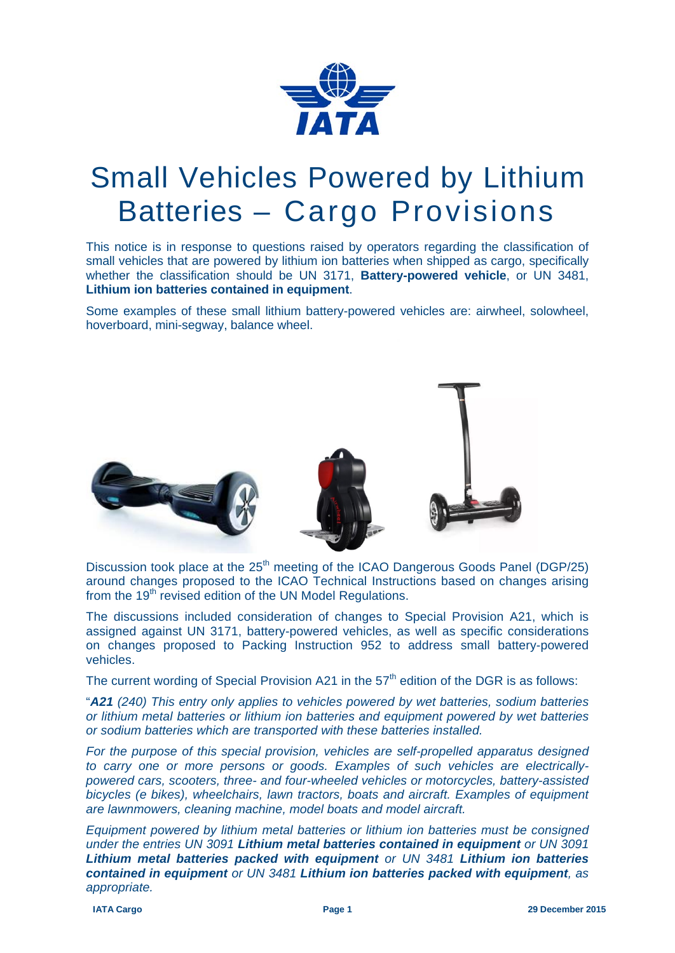

## Small Vehicles Powered by Lithium Batteries – Cargo Provisions

This notice is in response to questions raised by operators regarding the classification of small vehicles that are powered by lithium ion batteries when shipped as cargo, specifically whether the classification should be UN 3171, **Battery-powered vehicle**, or UN 3481, **Lithium ion batteries contained in equipment**.

Some examples of these small lithium battery-powered vehicles are: airwheel, solowheel, hoverboard, mini-segway, balance wheel.



Discussion took place at the 25<sup>th</sup> meeting of the ICAO Dangerous Goods Panel (DGP/25) around changes proposed to the ICAO Technical Instructions based on changes arising from the 19<sup>th</sup> revised edition of the UN Model Regulations.

The discussions included consideration of changes to Special Provision A21, which is assigned against UN 3171, battery-powered vehicles, as well as specific considerations on changes proposed to Packing Instruction 952 to address small battery-powered vehicles.

The current wording of Special Provision A21 in the  $57<sup>th</sup>$  edition of the DGR is as follows:

"*A21 (240) This entry only applies to vehicles powered by wet batteries, sodium batteries or lithium metal batteries or lithium ion batteries and equipment powered by wet batteries or sodium batteries which are transported with these batteries installed.* 

*For the purpose of this special provision, vehicles are self-propelled apparatus designed to carry one or more persons or goods. Examples of such vehicles are electricallypowered cars, scooters, three- and four-wheeled vehicles or motorcycles, battery-assisted bicycles (e bikes), wheelchairs, lawn tractors, boats and aircraft. Examples of equipment are lawnmowers, cleaning machine, model boats and model aircraft.* 

*Equipment powered by lithium metal batteries or lithium ion batteries must be consigned under the entries UN 3091 Lithium metal batteries contained in equipment or UN 3091 Lithium metal batteries packed with equipment or UN 3481 Lithium ion batteries contained in equipment or UN 3481 Lithium ion batteries packed with equipment, as appropriate.*